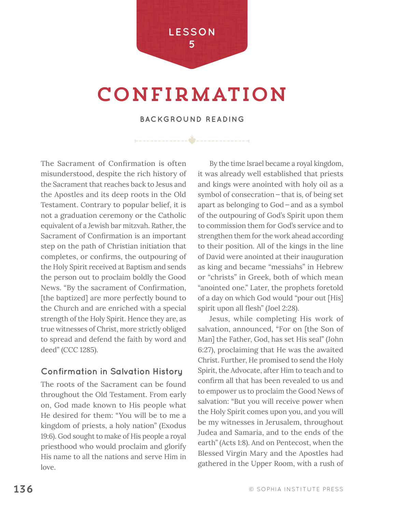

# CONFIRMATION

#### **BACKGROUND READING**

ふ

The Sacrament of Confirmation is often misunderstood, despite the rich history of the Sacrament that reaches back to Jesus and the Apostles and its deep roots in the Old Testament. Contrary to popular belief, it is not a graduation ceremony or the Catholic equivalent of a Jewish bar mitzvah. Rather, the Sacrament of Confirmation is an important step on the path of Christian initiation that completes, or confirms, the outpouring of the Holy Spirit received at Baptism and sends the person out to proclaim boldly the Good News. "By the sacrament of Confirmation, [the baptized] are more perfectly bound to the Church and are enriched with a special strength of the Holy Spirit. Hence they are, as true witnesses of Christ, more strictly obliged to spread and defend the faith by word and deed" (CCC 1285).

### **Confirmation in Salvation History**

The roots of the Sacrament can be found throughout the Old Testament. From early on, God made known to His people what He desired for them: "You will be to me a kingdom of priests, a holy nation" (Exodus 19:6). God sought to make of His people a royal priesthood who would proclaim and glorify His name to all the nations and serve Him in love.

By the time Israel became a royal kingdom, it was already well established that priests and kings were anointed with holy oil as a symbol of consecration—that is, of being set apart as belonging to God—and as a symbol of the outpouring of God's Spirit upon them to commission them for God's service and to strengthen them for the work ahead according to their position. All of the kings in the line of David were anointed at their inauguration as king and became "messiahs" in Hebrew or "christs" in Greek, both of which mean "anointed one." Later, the prophets foretold of a day on which God would "pour out [His] spirit upon all flesh" (Joel 2:28).

Jesus, while completing His work of salvation, announced, "For on [the Son of Man] the Father, God, has set His seal" (John 6:27), proclaiming that He was the awaited Christ. Further, He promised to send the Holy Spirit, the Advocate, after Him to teach and to confirm all that has been revealed to us and to empower us to proclaim the Good News of salvation: "But you will receive power when the Holy Spirit comes upon you, and you will be my witnesses in Jerusalem, throughout Judea and Samaria, and to the ends of the earth" (Acts 1:8). And on Pentecost, when the Blessed Virgin Mary and the Apostles had gathered in the Upper Room, with a rush of